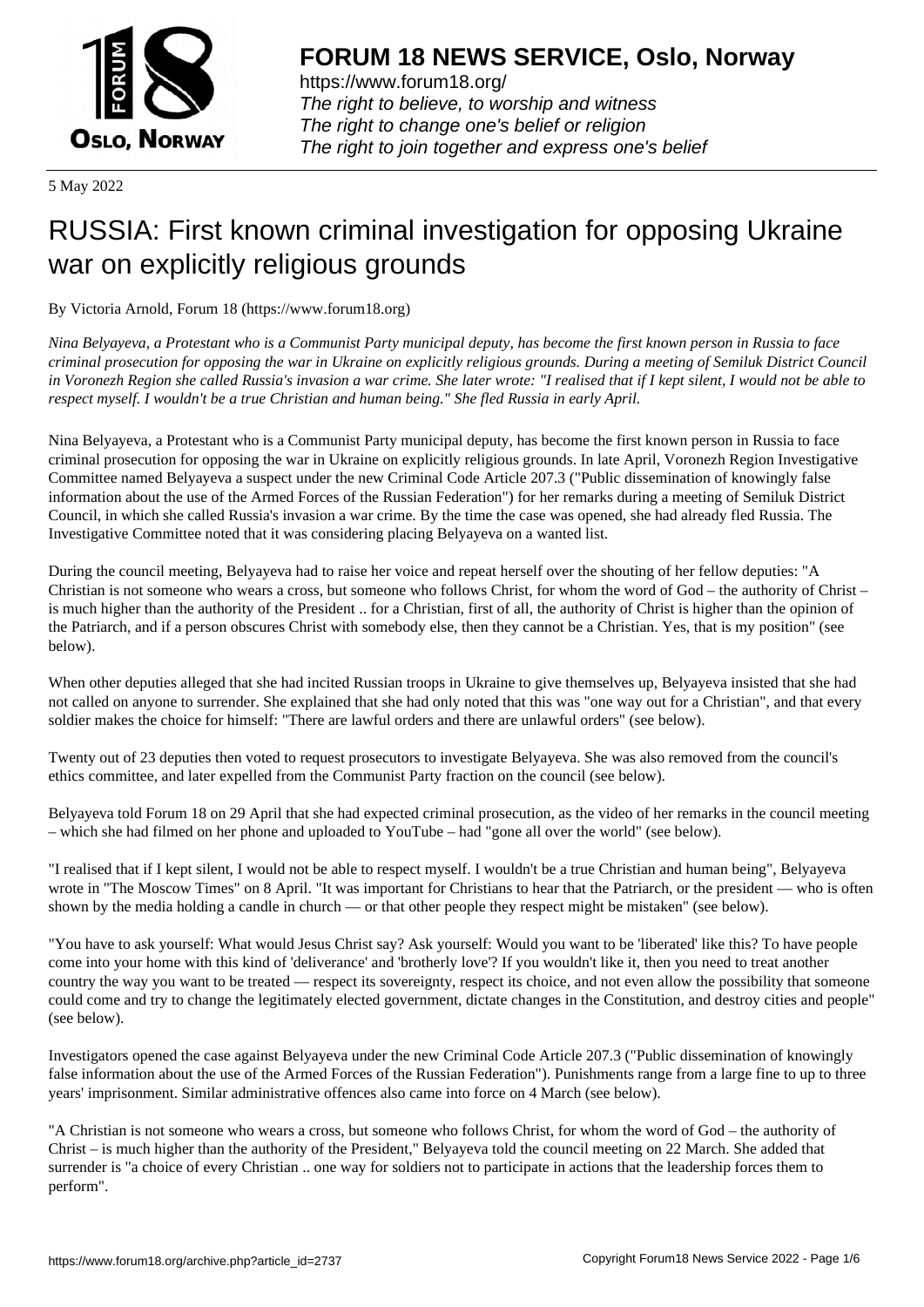

https://www.forum18.org/ The right to believe, to worship and witness The right to change one's belief or religion [The right to join together a](https://www.forum18.org/)nd express one's belief

5 May 2022

## [RUSSIA: First k](https://www.forum18.org)nown criminal investigation for opposing Ukraine war on explicitly religious grounds

By Victoria Arnold, Forum 18 (https://www.forum18.org)

*Nina Belyayeva, a Protestant who is a Communist Party municipal deputy, has become the first known person in Russia to face criminal prosecution for opposing the war in Ukraine on explicitly religious grounds. During a meeting of Semiluk District Council in Voronezh Region she called Russia's invasion a war crime. She later wrote: "I realised that if I kept silent, I would not be able to respect myself. I wouldn't be a true Christian and human being." She fled Russia in early April.*

Nina Belyayeva, a Protestant who is a Communist Party municipal deputy, has become the first known person in Russia to face criminal prosecution for opposing the war in Ukraine on explicitly religious grounds. In late April, Voronezh Region Investigative Committee named Belyayeva a suspect under the new Criminal Code Article 207.3 ("Public dissemination of knowingly false information about the use of the Armed Forces of the Russian Federation") for her remarks during a meeting of Semiluk District Council, in which she called Russia's invasion a war crime. By the time the case was opened, she had already fled Russia. The Investigative Committee noted that it was considering placing Belyayeva on a wanted list.

During the council meeting, Belyayeva had to raise her voice and repeat herself over the shouting of her fellow deputies: "A Christian is not someone who wears a cross, but someone who follows Christ, for whom the word of God – the authority of Christ – is much higher than the authority of the President .. for a Christian, first of all, the authority of Christ is higher than the opinion of the Patriarch, and if a person obscures Christ with somebody else, then they cannot be a Christian. Yes, that is my position" (see below).

When other deputies alleged that she had incited Russian troops in Ukraine to give themselves up, Belyayeva insisted that she had not called on anyone to surrender. She explained that she had only noted that this was "one way out for a Christian", and that every soldier makes the choice for himself: "There are lawful orders and there are unlawful orders" (see below).

Twenty out of 23 deputies then voted to request prosecutors to investigate Belyayeva. She was also removed from the council's ethics committee, and later expelled from the Communist Party fraction on the council (see below).

Belyayeva told Forum 18 on 29 April that she had expected criminal prosecution, as the video of her remarks in the council meeting – which she had filmed on her phone and uploaded to YouTube – had "gone all over the world" (see below).

"I realised that if I kept silent, I would not be able to respect myself. I wouldn't be a true Christian and human being", Belyayeva wrote in "The Moscow Times" on 8 April. "It was important for Christians to hear that the Patriarch, or the president — who is often shown by the media holding a candle in church — or that other people they respect might be mistaken" (see below).

"You have to ask yourself: What would Jesus Christ say? Ask yourself: Would you want to be 'liberated' like this? To have people come into your home with this kind of 'deliverance' and 'brotherly love'? If you wouldn't like it, then you need to treat another country the way you want to be treated — respect its sovereignty, respect its choice, and not even allow the possibility that someone could come and try to change the legitimately elected government, dictate changes in the Constitution, and destroy cities and people" (see below).

Investigators opened the case against Belyayeva under the new Criminal Code Article 207.3 ("Public dissemination of knowingly false information about the use of the Armed Forces of the Russian Federation"). Punishments range from a large fine to up to three years' imprisonment. Similar administrative offences also came into force on 4 March (see below).

"A Christian is not someone who wears a cross, but someone who follows Christ, for whom the word of God – the authority of Christ – is much higher than the authority of the President," Belyayeva told the council meeting on 22 March. She added that surrender is "a choice of every Christian .. one way for soldiers not to participate in actions that the leadership forces them to perform".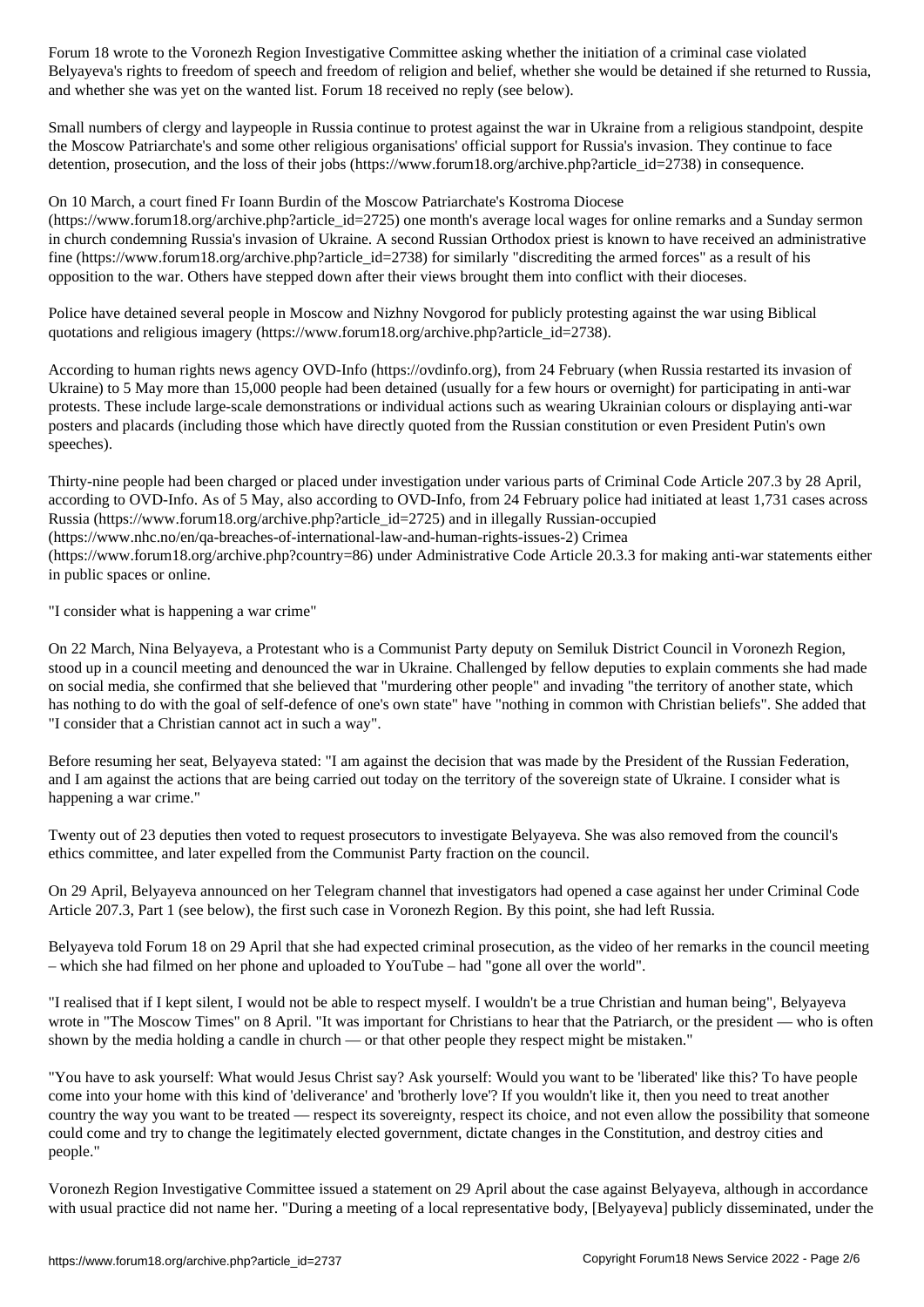Belyayeva's rights to freedom of speech and freedom of religion and belief, whether she would be detained if she returned to Russia, and whether she was yet on the wanted list. Forum 18 received no reply (see below).

Small numbers of clergy and laypeople in Russia continue to protest against the war in Ukraine from a religious standpoint, despite the Moscow Patriarchate's and some other religious organisations' official support for Russia's invasion. They continue to face detention, prosecution, and the loss of their jobs (https://www.forum18.org/archive.php?article\_id=2738) in consequence.

On 10 March, a court fined Fr Ioann Burdin of the Moscow Patriarchate's Kostroma Diocese

(https://www.forum18.org/archive.php?article\_id=2725) one month's average local wages for online remarks and a Sunday sermon in church condemning Russia's invasion of Ukraine. A second Russian Orthodox priest is known to have received an administrative fine (https://www.forum18.org/archive.php?article\_id=2738) for similarly "discrediting the armed forces" as a result of his opposition to the war. Others have stepped down after their views brought them into conflict with their dioceses.

Police have detained several people in Moscow and Nizhny Novgorod for publicly protesting against the war using Biblical quotations and religious imagery (https://www.forum18.org/archive.php?article\_id=2738).

According to human rights news agency OVD-Info (https://ovdinfo.org), from 24 February (when Russia restarted its invasion of Ukraine) to 5 May more than 15,000 people had been detained (usually for a few hours or overnight) for participating in anti-war protests. These include large-scale demonstrations or individual actions such as wearing Ukrainian colours or displaying anti-war posters and placards (including those which have directly quoted from the Russian constitution or even President Putin's own speeches).

Thirty-nine people had been charged or placed under investigation under various parts of Criminal Code Article 207.3 by 28 April, according to OVD-Info. As of 5 May, also according to OVD-Info, from 24 February police had initiated at least 1,731 cases across Russia (https://www.forum18.org/archive.php?article\_id=2725) and in illegally Russian-occupied (https://www.nhc.no/en/qa-breaches-of-international-law-and-human-rights-issues-2) Crimea (https://www.forum18.org/archive.php?country=86) under Administrative Code Article 20.3.3 for making anti-war statements either in public spaces or online.

"I consider what is happening a war crime"

On 22 March, Nina Belyayeva, a Protestant who is a Communist Party deputy on Semiluk District Council in Voronezh Region, stood up in a council meeting and denounced the war in Ukraine. Challenged by fellow deputies to explain comments she had made on social media, she confirmed that she believed that "murdering other people" and invading "the territory of another state, which has nothing to do with the goal of self-defence of one's own state" have "nothing in common with Christian beliefs". She added that "I consider that a Christian cannot act in such a way".

Before resuming her seat, Belyayeva stated: "I am against the decision that was made by the President of the Russian Federation, and I am against the actions that are being carried out today on the territory of the sovereign state of Ukraine. I consider what is happening a war crime."

Twenty out of 23 deputies then voted to request prosecutors to investigate Belyayeva. She was also removed from the council's ethics committee, and later expelled from the Communist Party fraction on the council.

On 29 April, Belyayeva announced on her Telegram channel that investigators had opened a case against her under Criminal Code Article 207.3, Part 1 (see below), the first such case in Voronezh Region. By this point, she had left Russia.

Belyayeva told Forum 18 on 29 April that she had expected criminal prosecution, as the video of her remarks in the council meeting – which she had filmed on her phone and uploaded to YouTube – had "gone all over the world".

"I realised that if I kept silent, I would not be able to respect myself. I wouldn't be a true Christian and human being", Belyayeva wrote in "The Moscow Times" on 8 April. "It was important for Christians to hear that the Patriarch, or the president — who is often shown by the media holding a candle in church — or that other people they respect might be mistaken."

"You have to ask yourself: What would Jesus Christ say? Ask yourself: Would you want to be 'liberated' like this? To have people come into your home with this kind of 'deliverance' and 'brotherly love'? If you wouldn't like it, then you need to treat another country the way you want to be treated — respect its sovereignty, respect its choice, and not even allow the possibility that someone could come and try to change the legitimately elected government, dictate changes in the Constitution, and destroy cities and people."

Voronezh Region Investigative Committee issued a statement on 29 April about the case against Belyayeva, although in accordance with usual practice did not name her. "During a meeting of a local representative body, [Belyayeva] publicly disseminated, under the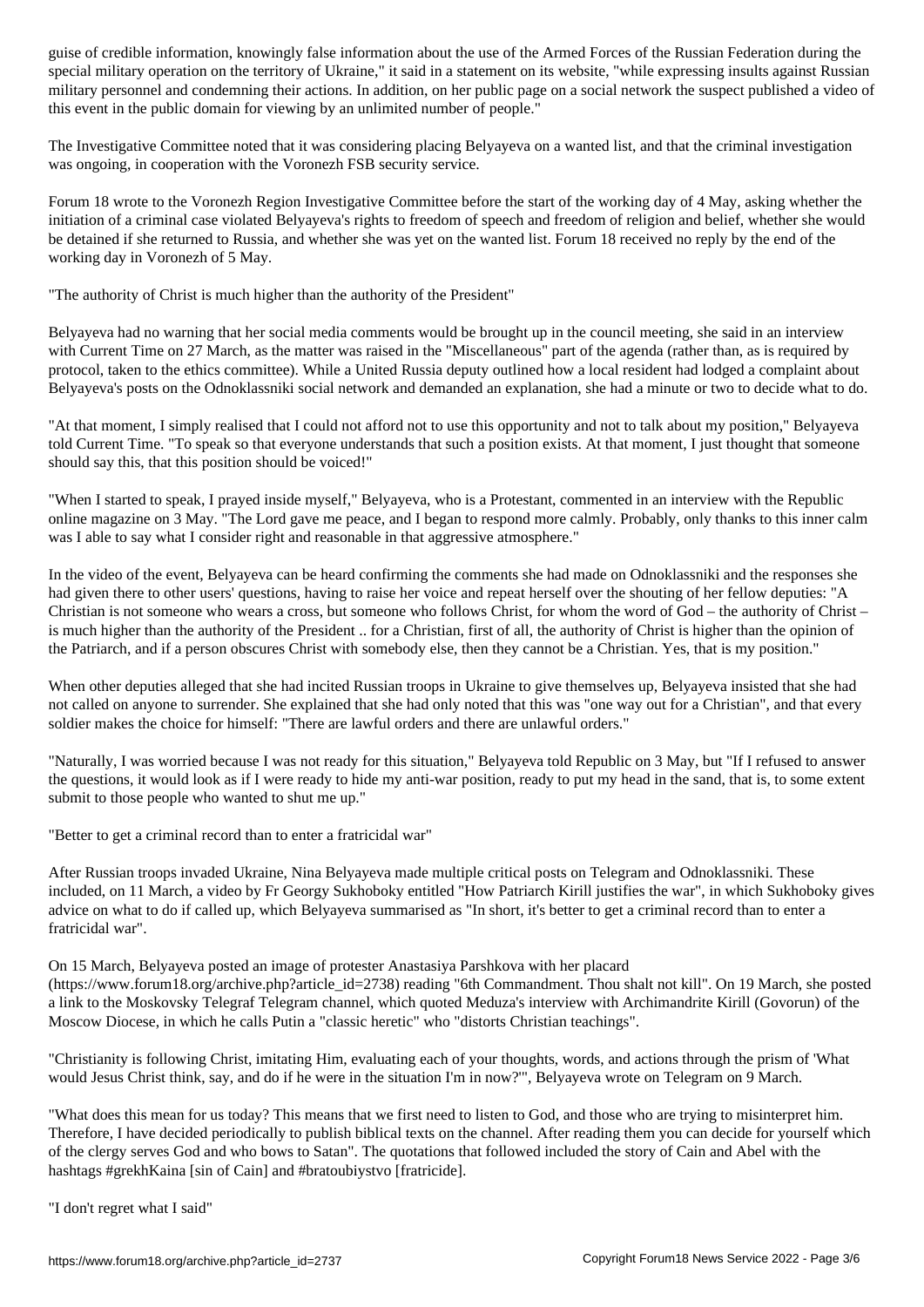special military operation on the territory of Ukraine," it said in a statement on its website, "while expressing insults against Russian military personnel and condemning their actions. In addition, on her public page on a social network the suspect published a video of this event in the public domain for viewing by an unlimited number of people."

The Investigative Committee noted that it was considering placing Belyayeva on a wanted list, and that the criminal investigation was ongoing, in cooperation with the Voronezh FSB security service.

Forum 18 wrote to the Voronezh Region Investigative Committee before the start of the working day of 4 May, asking whether the initiation of a criminal case violated Belyayeva's rights to freedom of speech and freedom of religion and belief, whether she would be detained if she returned to Russia, and whether she was yet on the wanted list. Forum 18 received no reply by the end of the working day in Voronezh of 5 May.

"The authority of Christ is much higher than the authority of the President"

Belyayeva had no warning that her social media comments would be brought up in the council meeting, she said in an interview with Current Time on 27 March, as the matter was raised in the "Miscellaneous" part of the agenda (rather than, as is required by protocol, taken to the ethics committee). While a United Russia deputy outlined how a local resident had lodged a complaint about Belyayeva's posts on the Odnoklassniki social network and demanded an explanation, she had a minute or two to decide what to do.

"At that moment, I simply realised that I could not afford not to use this opportunity and not to talk about my position," Belyayeva told Current Time. "To speak so that everyone understands that such a position exists. At that moment, I just thought that someone should say this, that this position should be voiced!"

"When I started to speak, I prayed inside myself," Belyayeva, who is a Protestant, commented in an interview with the Republic online magazine on 3 May. "The Lord gave me peace, and I began to respond more calmly. Probably, only thanks to this inner calm was I able to say what I consider right and reasonable in that aggressive atmosphere."

In the video of the event, Belyayeva can be heard confirming the comments she had made on Odnoklassniki and the responses she had given there to other users' questions, having to raise her voice and repeat herself over the shouting of her fellow deputies: "A Christian is not someone who wears a cross, but someone who follows Christ, for whom the word of God – the authority of Christ – is much higher than the authority of the President .. for a Christian, first of all, the authority of Christ is higher than the opinion of the Patriarch, and if a person obscures Christ with somebody else, then they cannot be a Christian. Yes, that is my position."

When other deputies alleged that she had incited Russian troops in Ukraine to give themselves up, Belyayeva insisted that she had not called on anyone to surrender. She explained that she had only noted that this was "one way out for a Christian", and that every soldier makes the choice for himself: "There are lawful orders and there are unlawful orders."

"Naturally, I was worried because I was not ready for this situation," Belyayeva told Republic on 3 May, but "If I refused to answer the questions, it would look as if I were ready to hide my anti-war position, ready to put my head in the sand, that is, to some extent submit to those people who wanted to shut me up."

"Better to get a criminal record than to enter a fratricidal war"

After Russian troops invaded Ukraine, Nina Belyayeva made multiple critical posts on Telegram and Odnoklassniki. These included, on 11 March, a video by Fr Georgy Sukhoboky entitled "How Patriarch Kirill justifies the war", in which Sukhoboky gives advice on what to do if called up, which Belyayeva summarised as "In short, it's better to get a criminal record than to enter a fratricidal war".

On 15 March, Belyayeva posted an image of protester Anastasiya Parshkova with her placard (https://www.forum18.org/archive.php?article\_id=2738) reading "6th Commandment. Thou shalt not kill". On 19 March, she posted a link to the Moskovsky Telegraf Telegram channel, which quoted Meduza's interview with Archimandrite Kirill (Govorun) of the Moscow Diocese, in which he calls Putin a "classic heretic" who "distorts Christian teachings".

"Christianity is following Christ, imitating Him, evaluating each of your thoughts, words, and actions through the prism of 'What would Jesus Christ think, say, and do if he were in the situation I'm in now?'", Belyayeva wrote on Telegram on 9 March.

"What does this mean for us today? This means that we first need to listen to God, and those who are trying to misinterpret him. Therefore, I have decided periodically to publish biblical texts on the channel. After reading them you can decide for yourself which of the clergy serves God and who bows to Satan". The quotations that followed included the story of Cain and Abel with the hashtags #grekhKaina [sin of Cain] and #bratoubiystvo [fratricide].

"I don't regret what I said"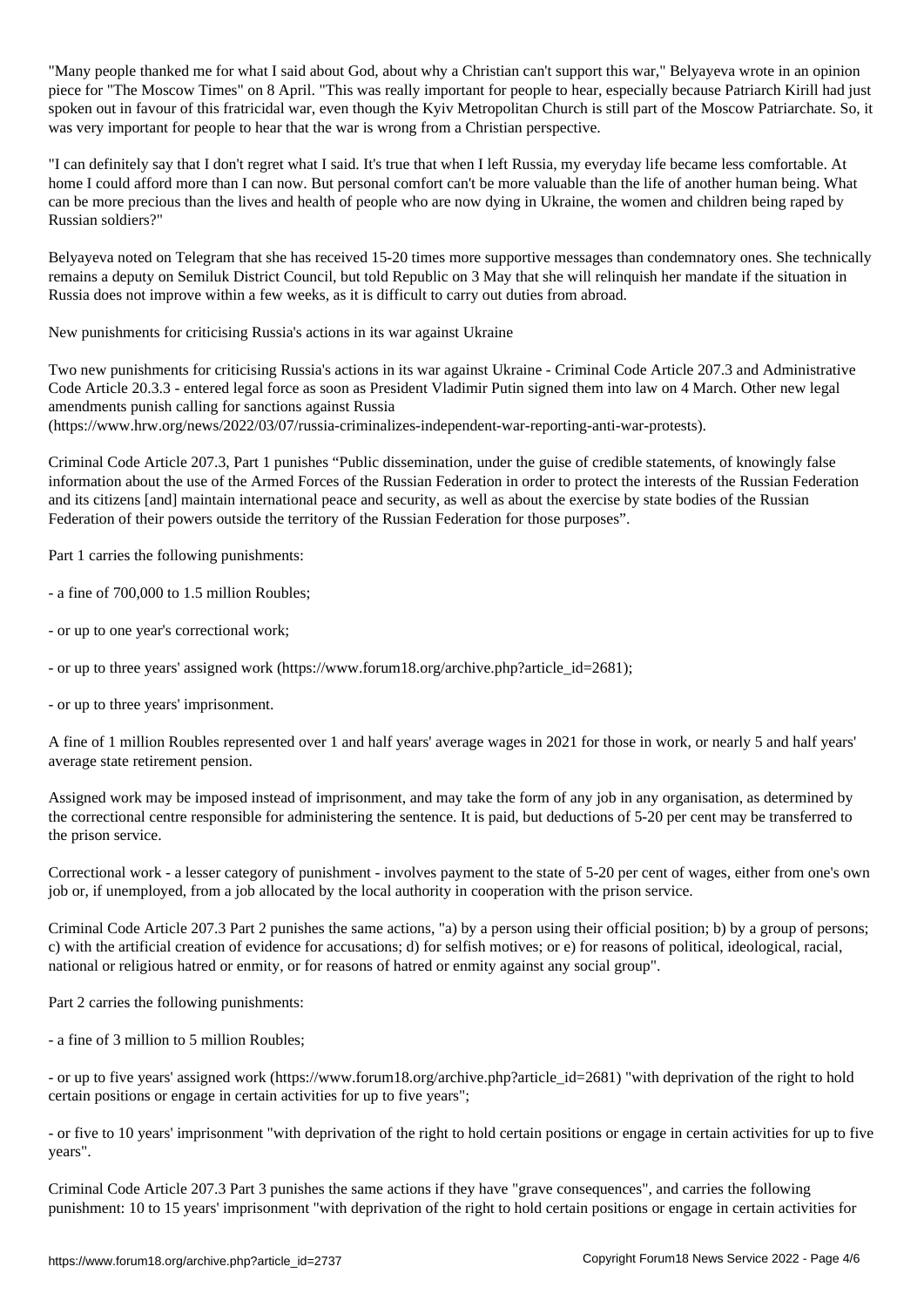"Many people thanked me for what I said about God, about why a Christian can't support this war," Belyayeva wrote in an opinion piece for "The Moscow Times" on 8 April. "This was really important for people to hear, especially because Patriarch Kirill had just spoken out in favour of this fratricidal war, even though the Kyiv Metropolitan Church is still part of the Moscow Patriarchate. So, it was very important for people to hear that the war is wrong from a Christian perspective.

"I can definitely say that I don't regret what I said. It's true that when I left Russia, my everyday life became less comfortable. At home I could afford more than I can now. But personal comfort can't be more valuable than the life of another human being. What can be more precious than the lives and health of people who are now dying in Ukraine, the women and children being raped by Russian soldiers?"

Belyayeva noted on Telegram that she has received 15-20 times more supportive messages than condemnatory ones. She technically remains a deputy on Semiluk District Council, but told Republic on 3 May that she will relinquish her mandate if the situation in Russia does not improve within a few weeks, as it is difficult to carry out duties from abroad.

New punishments for criticising Russia's actions in its war against Ukraine

Two new punishments for criticising Russia's actions in its war against Ukraine - Criminal Code Article 207.3 and Administrative Code Article 20.3.3 - entered legal force as soon as President Vladimir Putin signed them into law on 4 March. Other new legal amendments punish calling for sanctions against Russia

(https://www.hrw.org/news/2022/03/07/russia-criminalizes-independent-war-reporting-anti-war-protests).

Criminal Code Article 207.3, Part 1 punishes "Public dissemination, under the guise of credible statements, of knowingly false information about the use of the Armed Forces of the Russian Federation in order to protect the interests of the Russian Federation and its citizens [and] maintain international peace and security, as well as about the exercise by state bodies of the Russian Federation of their powers outside the territory of the Russian Federation for those purposes".

Part 1 carries the following punishments:

- a fine of 700,000 to 1.5 million Roubles;
- or up to one year's correctional work;
- or up to three years' assigned work (https://www.forum18.org/archive.php?article\_id=2681);

- or up to three years' imprisonment.

A fine of 1 million Roubles represented over 1 and half years' average wages in 2021 for those in work, or nearly 5 and half years' average state retirement pension.

Assigned work may be imposed instead of imprisonment, and may take the form of any job in any organisation, as determined by the correctional centre responsible for administering the sentence. It is paid, but deductions of 5-20 per cent may be transferred to the prison service.

Correctional work - a lesser category of punishment - involves payment to the state of 5-20 per cent of wages, either from one's own job or, if unemployed, from a job allocated by the local authority in cooperation with the prison service.

Criminal Code Article 207.3 Part 2 punishes the same actions, "a) by a person using their official position; b) by a group of persons; c) with the artificial creation of evidence for accusations; d) for selfish motives; or e) for reasons of political, ideological, racial, national or religious hatred or enmity, or for reasons of hatred or enmity against any social group".

Part 2 carries the following punishments:

- a fine of 3 million to 5 million Roubles;

- or up to five years' assigned work (https://www.forum18.org/archive.php?article\_id=2681) "with deprivation of the right to hold certain positions or engage in certain activities for up to five years";

- or five to 10 years' imprisonment "with deprivation of the right to hold certain positions or engage in certain activities for up to five years".

Criminal Code Article 207.3 Part 3 punishes the same actions if they have "grave consequences", and carries the following punishment: 10 to 15 years' imprisonment "with deprivation of the right to hold certain positions or engage in certain activities for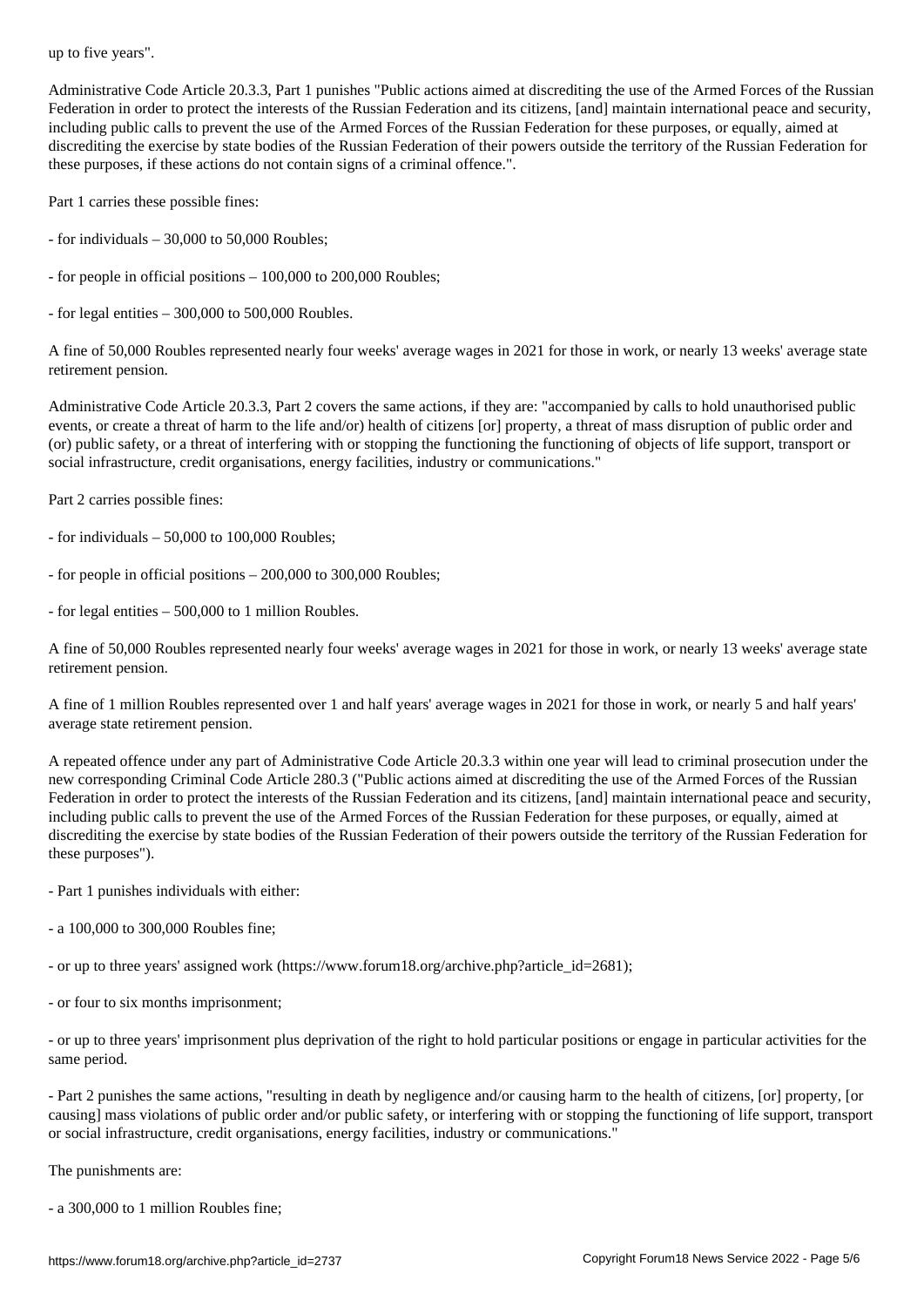Administrative Code Article 20.3.3, Part 1 punishes "Public actions aimed at discrediting the use of the Armed Forces of the Russian Federation in order to protect the interests of the Russian Federation and its citizens, [and] maintain international peace and security, including public calls to prevent the use of the Armed Forces of the Russian Federation for these purposes, or equally, aimed at discrediting the exercise by state bodies of the Russian Federation of their powers outside the territory of the Russian Federation for these purposes, if these actions do not contain signs of a criminal offence.".

Part 1 carries these possible fines:

- for individuals 30,000 to 50,000 Roubles;
- for people in official positions 100,000 to 200,000 Roubles;
- for legal entities  $-300,000$  to  $500,000$  Roubles.

A fine of 50,000 Roubles represented nearly four weeks' average wages in 2021 for those in work, or nearly 13 weeks' average state retirement pension.

Administrative Code Article 20.3.3, Part 2 covers the same actions, if they are: "accompanied by calls to hold unauthorised public events, or create a threat of harm to the life and/or) health of citizens [or] property, a threat of mass disruption of public order and (or) public safety, or a threat of interfering with or stopping the functioning the functioning of objects of life support, transport or social infrastructure, credit organisations, energy facilities, industry or communications."

Part 2 carries possible fines:

- for individuals  $-50,000$  to 100,000 Roubles;
- for people in official positions 200,000 to 300,000 Roubles;
- for legal entities 500,000 to 1 million Roubles.

A fine of 50,000 Roubles represented nearly four weeks' average wages in 2021 for those in work, or nearly 13 weeks' average state retirement pension.

A fine of 1 million Roubles represented over 1 and half years' average wages in 2021 for those in work, or nearly 5 and half years' average state retirement pension.

A repeated offence under any part of Administrative Code Article 20.3.3 within one year will lead to criminal prosecution under the new corresponding Criminal Code Article 280.3 ("Public actions aimed at discrediting the use of the Armed Forces of the Russian Federation in order to protect the interests of the Russian Federation and its citizens, [and] maintain international peace and security, including public calls to prevent the use of the Armed Forces of the Russian Federation for these purposes, or equally, aimed at discrediting the exercise by state bodies of the Russian Federation of their powers outside the territory of the Russian Federation for these purposes").

- Part 1 punishes individuals with either:

- a 100,000 to 300,000 Roubles fine;

- or up to three years' assigned work (https://www.forum18.org/archive.php?article\_id=2681);

- or four to six months imprisonment;

- or up to three years' imprisonment plus deprivation of the right to hold particular positions or engage in particular activities for the same period.

- Part 2 punishes the same actions, "resulting in death by negligence and/or causing harm to the health of citizens, [or] property, [or causing] mass violations of public order and/or public safety, or interfering with or stopping the functioning of life support, transport or social infrastructure, credit organisations, energy facilities, industry or communications."

The punishments are:

- a 300,000 to 1 million Roubles fine;